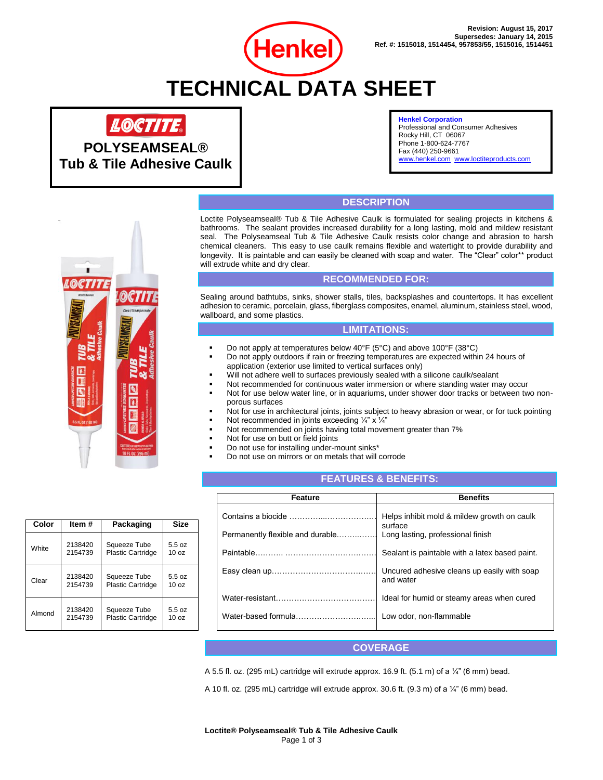

# **TECHNICAL DATA SHEET**



**POLYSEAMSEAL® Tub & Tile Adhesive Caulk**

#### **Henkel Corporation**

Professional and Consumer Adhesives Rocky Hill, CT 06067 Phone 1-800-624-7767 Fax (440) 250-9661 [www.henkel.com](http://www.henkel.com/) [www.loctiteproducts.com](http://www.loctiteproducts.com/)

# **DESCRIPTION**

Loctite Polyseamseal® Tub & Tile Adhesive Caulk is formulated for sealing projects in kitchens & bathrooms. The sealant provides increased durability for a long lasting, mold and mildew resistant seal. The Polyseamseal Tub & Tile Adhesive Caulk resists color change and abrasion to harsh chemical cleaners. This easy to use caulk remains flexible and watertight to provide durability and longevity. It is paintable and can easily be cleaned with soap and water. The "Clear" color\*\* product will extrude white and dry clear.

## **RECOMMENDED FOR:**

Sealing around bathtubs, sinks, shower stalls, tiles, backsplashes and countertops. It has excellent adhesion to ceramic, porcelain, glass, fiberglass composites, enamel, aluminum, stainless steel, wood, wallboard, and some plastics.

## **LIMITATIONS:**

- Do not apply at temperatures below  $40^{\circ}$ F (5°C) and above 100°F (38°C)
- Do not apply outdoors if rain or freezing temperatures are expected within 24 hours of application (exterior use limited to vertical surfaces only)
- Will not adhere well to surfaces previously sealed with a silicone caulk/sealant
- Not recommended for continuous water immersion or where standing water may occur
- Not for use below water line, or in aquariums, under shower door tracks or between two nonporous surfaces
- Not for use in architectural joints, joints subject to heavy abrasion or wear, or for tuck pointing
- Not recommended in joints exceeding  $\frac{1}{4}$ " x  $\frac{1}{4}$ "
- Not recommended on joints having total movement greater than 7%
- Not for use on butt or field joints
- Do not use for installing under-mount sinks\*
- Do not use on mirrors or on metals that will corrode

## **FEATURES & BENEFITS:**

| Feature                          | <b>Benefits</b>                                          |
|----------------------------------|----------------------------------------------------------|
|                                  | Helps inhibit mold & mildew growth on caulk<br>surface   |
| Permanently flexible and durable | Long lasting, professional finish                        |
|                                  | Sealant is paintable with a latex based paint.           |
|                                  | Uncured adhesive cleans up easily with soap<br>and water |
|                                  | Ideal for humid or steamy areas when cured               |
| Water-based formula              | Low odor, non-flammable                                  |

## **COVERAGE**

A 5.5 fl. oz. (295 mL) cartridge will extrude approx. 16.9 ft. (5.1 m) of a  $\frac{1}{4}$ " (6 mm) bead.

A 10 fl. oz. (295 mL) cartridge will extrude approx. 30.6 ft. (9.3 m) of a  $\frac{1}{4}$ " (6 mm) bead.

| Color  | ltem #  | Packaging                | Size             |
|--------|---------|--------------------------|------------------|
| White  | 2138420 | Squeeze Tube             | 5.5 oz           |
|        | 2154739 | <b>Plastic Cartridge</b> | 10 <sub>oz</sub> |
| Clear  | 2138420 | Squeeze Tube             | 5.5 oz           |
|        | 2154739 | <b>Plastic Cartridge</b> | 10 <sub>oz</sub> |
| Almond | 2138420 | Squeeze Tube             | 5.5 oz           |
|        | 2154739 | <b>Plastic Cartridge</b> | 10 <sub>oz</sub> |

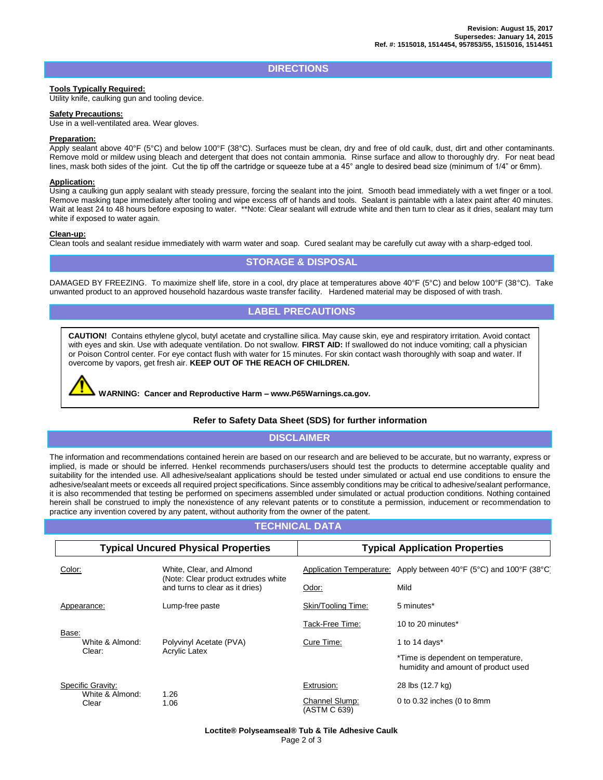## **DIRECTIONS**

#### **Tools Typically Required:**

Utility knife, caulking gun and tooling device.

#### **Safety Precautions:**

Use in a well-ventilated area. Wear gloves.

#### **Preparation:**

Apply sealant above 40°F (5°C) and below 100°F (38°C). Surfaces must be clean, dry and free of old caulk, dust, dirt and other contaminants. Remove mold or mildew using bleach and detergent that does not contain ammonia. Rinse surface and allow to thoroughly dry. For neat bead lines, mask both sides of the joint. Cut the tip off the cartridge or squeeze tube at a 45° angle to desired bead size (minimum of 1/4" or 6mm).

#### **Application:**

Using a caulking gun apply sealant with steady pressure, forcing the sealant into the joint. Smooth bead immediately with a wet finger or a tool. Remove masking tape immediately after tooling and wipe excess off of hands and tools. Sealant is paintable with a latex paint after 40 minutes. Wait at least 24 to 48 hours before exposing to water. \*\*Note: Clear sealant will extrude white and then turn to clear as it dries, sealant may turn white if exposed to water again.

#### **Clean-up:**

Clean tools and sealant residue immediately with warm water and soap. Cured sealant may be carefully cut away with a sharp-edged tool.

# **STORAGE & DISPOSAL**

DAMAGED BY FREEZING. To maximize shelf life, store in a cool, dry place at temperatures above 40°F (5°C) and below 100°F (38°C). Take unwanted product to an approved household hazardous waste transfer facility. Hardened material may be disposed of with trash.<br>

# **LABEL PRECAUTIONS**

**CAUTION!** Contains ethylene glycol, butyl acetate and crystalline silica. May cause skin, eye and respiratory irritation. Avoid contact with eyes and skin. Use with adequate ventilation. Do not swallow. **FIRST AID:** If swallowed do not induce vomiting; call a physician or Poison Control center. For eye contact flush with water for 15 minutes. For skin contact wash thoroughly with soap and water. If overcome by vapors, get fresh air. **KEEP OUT OF THE REACH OF CHILDREN.**

**WARNING: Cancer and Reproductive Harm – www.P65Warnings.ca.gov.**

## **Refer to Safety Data Sheet (SDS) for further information**

**DISCLAIMER**

The information and recommendations contained herein are based on our research and are believed to be accurate, but no warranty, express or implied, is made or should be inferred. Henkel recommends purchasers/users should test the products to determine acceptable quality and suitability for the intended use. All adhesive/sealant applications should be tested under simulated or actual end use conditions to ensure the adhesive/sealant meets or exceeds all required project specifications. Since assembly conditions may be critical to adhesive/sealant performance, it is also recommended that testing be performed on specimens assembled under simulated or actual production conditions. Nothing contained herein shall be construed to imply the nonexistence of any relevant patents or to constitute a permission, inducement or recommendation to practice any invention covered by any patent, without authority from the owner of the patent.

# **TECHNICAL DATA**

| <b>Typical Uncured Physical Properties</b>                                            |                                                                 | <b>Typical Application Properties</b>                                     |                                                                    |
|---------------------------------------------------------------------------------------|-----------------------------------------------------------------|---------------------------------------------------------------------------|--------------------------------------------------------------------|
| Color:                                                                                | White, Clear, and Almond<br>(Note: Clear product extrudes white |                                                                           | Application Temperature: Apply between 40°F (5°C) and 100°F (38°C) |
| and turns to clear as it dries)                                                       | Odor:                                                           | Mild                                                                      |                                                                    |
| Appearance:                                                                           | Lump-free paste                                                 | Skin/Tooling Time:                                                        | 5 minutes*                                                         |
|                                                                                       |                                                                 | Tack-Free Time:                                                           | 10 to 20 minutes*                                                  |
| Base:<br>White & Almond:<br>Polyvinyl Acetate (PVA)<br><b>Acrylic Latex</b><br>Clear: |                                                                 | Cure Time:                                                                | 1 to 14 days $*$                                                   |
|                                                                                       |                                                                 | *Time is dependent on temperature,<br>humidity and amount of product used |                                                                    |
| Specific Gravity:                                                                     |                                                                 | Extrusion:                                                                | 28 lbs (12.7 kg)                                                   |
| White & Almond:<br>Clear                                                              | 1.26<br>1.06                                                    | Channel Slump:<br>(ASTM C 639)                                            | 0 to 0.32 inches (0 to 8mm                                         |